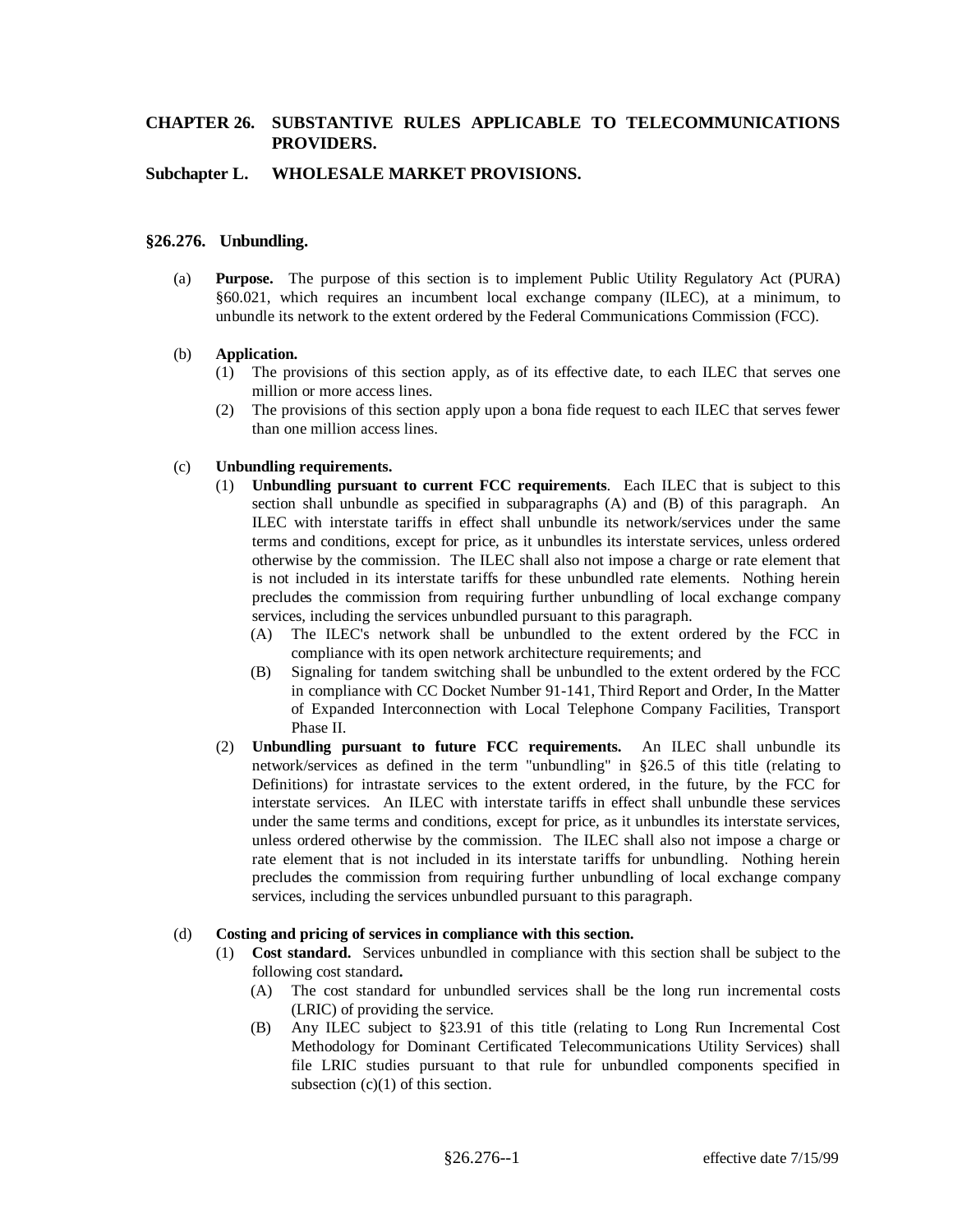### **Subchapter L. WHOLESALE MARKET PROVISIONS.**

### **§26.276. Unbundling.**

(a) **Purpose.** The purpose of this section is to implement Public Utility Regulatory Act (PURA) §60.021, which requires an incumbent local exchange company (ILEC), at a minimum, to unbundle its network to the extent ordered by the Federal Communications Commission (FCC).

#### (b) **Application.**

- (1) The provisions of this section apply, as of its effective date, to each ILEC that serves one million or more access lines.
- (2) The provisions of this section apply upon a bona fide request to each ILEC that serves fewer than one million access lines.

#### (c) **Unbundling requirements.**

- (1) **Unbundling pursuant to current FCC requirements**. Each ILEC that is subject to this section shall unbundle as specified in subparagraphs (A) and (B) of this paragraph. An ILEC with interstate tariffs in effect shall unbundle its network/services under the same terms and conditions, except for price, as it unbundles its interstate services, unless ordered otherwise by the commission. The ILEC shall also not impose a charge or rate element that is not included in its interstate tariffs for these unbundled rate elements. Nothing herein precludes the commission from requiring further unbundling of local exchange company services, including the services unbundled pursuant to this paragraph.
	- (A) The ILEC's network shall be unbundled to the extent ordered by the FCC in compliance with its open network architecture requirements; and
	- (B) Signaling for tandem switching shall be unbundled to the extent ordered by the FCC in compliance with CC Docket Number 91-141, Third Report and Order, In the Matter of Expanded Interconnection with Local Telephone Company Facilities, Transport Phase II.
- (2) **Unbundling pursuant to future FCC requirements.** An ILEC shall unbundle its network/services as defined in the term "unbundling" in §26.5 of this title (relating to Definitions) for intrastate services to the extent ordered, in the future, by the FCC for interstate services. An ILEC with interstate tariffs in effect shall unbundle these services under the same terms and conditions, except for price, as it unbundles its interstate services, unless ordered otherwise by the commission. The ILEC shall also not impose a charge or rate element that is not included in its interstate tariffs for unbundling. Nothing herein precludes the commission from requiring further unbundling of local exchange company services, including the services unbundled pursuant to this paragraph.

#### (d) **Costing and pricing of services in compliance with this section.**

- (1) **Cost standard.** Services unbundled in compliance with this section shall be subject to the following cost standard**.**
	- (A) The cost standard for unbundled services shall be the long run incremental costs (LRIC) of providing the service.
	- (B) Any ILEC subject to §23.91 of this title (relating to Long Run Incremental Cost Methodology for Dominant Certificated Telecommunications Utility Services) shall file LRIC studies pursuant to that rule for unbundled components specified in subsection  $(c)(1)$  of this section.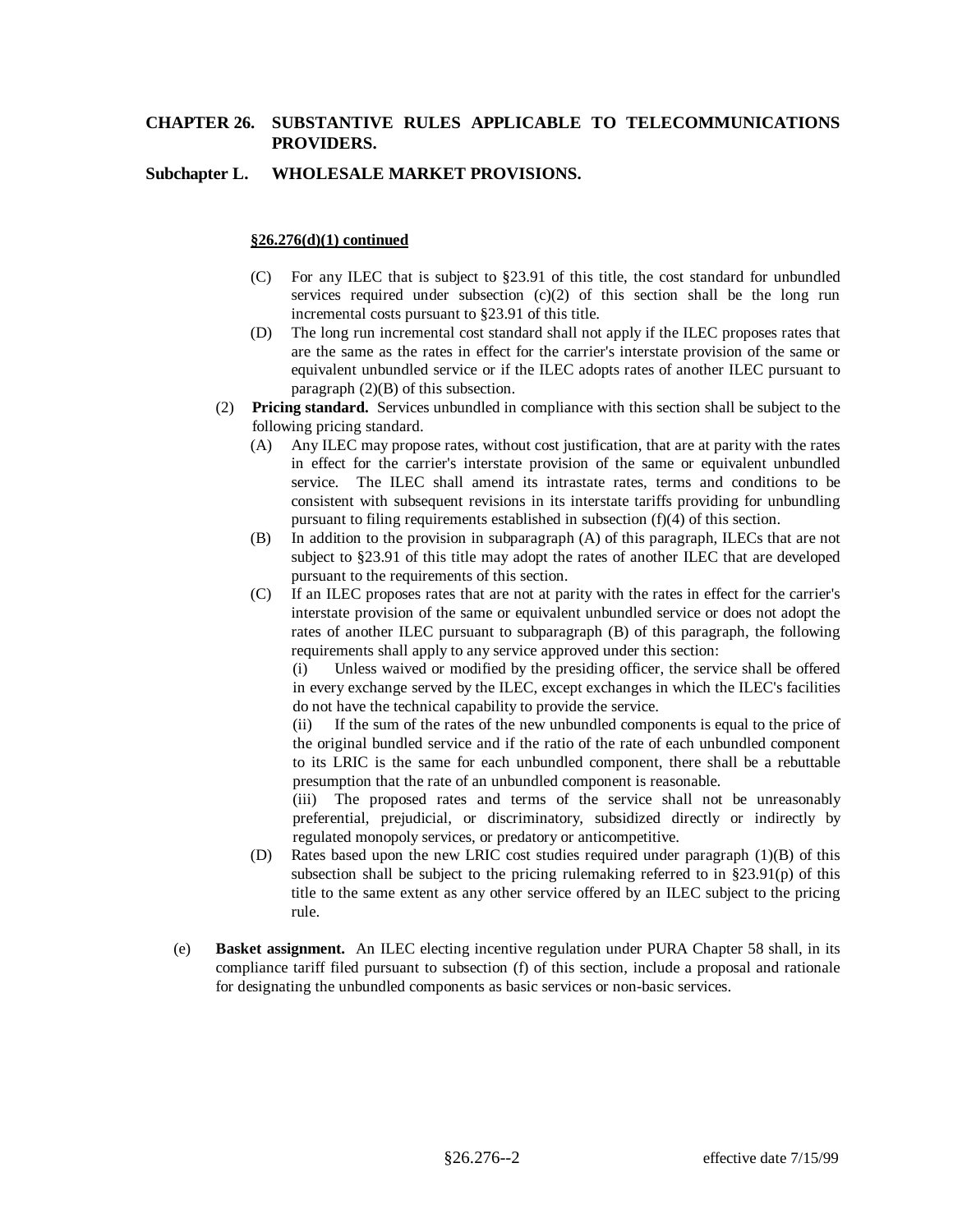#### **Subchapter L. WHOLESALE MARKET PROVISIONS.**

#### **§26.276(d)(1) continued**

- (C) For any ILEC that is subject to §23.91 of this title, the cost standard for unbundled services required under subsection  $(c)(2)$  of this section shall be the long run incremental costs pursuant to §23.91 of this title.
- (D) The long run incremental cost standard shall not apply if the ILEC proposes rates that are the same as the rates in effect for the carrier's interstate provision of the same or equivalent unbundled service or if the ILEC adopts rates of another ILEC pursuant to paragraph  $(2)(B)$  of this subsection.
- (2) **Pricing standard.** Services unbundled in compliance with this section shall be subject to the following pricing standard.
	- (A) Any ILEC may propose rates, without cost justification, that are at parity with the rates in effect for the carrier's interstate provision of the same or equivalent unbundled service. The ILEC shall amend its intrastate rates, terms and conditions to be consistent with subsequent revisions in its interstate tariffs providing for unbundling pursuant to filing requirements established in subsection (f)(4) of this section.
	- (B) In addition to the provision in subparagraph (A) of this paragraph, ILECs that are not subject to §23.91 of this title may adopt the rates of another ILEC that are developed pursuant to the requirements of this section.
	- (C) If an ILEC proposes rates that are not at parity with the rates in effect for the carrier's interstate provision of the same or equivalent unbundled service or does not adopt the rates of another ILEC pursuant to subparagraph (B) of this paragraph, the following requirements shall apply to any service approved under this section:

(i) Unless waived or modified by the presiding officer, the service shall be offered in every exchange served by the ILEC, except exchanges in which the ILEC's facilities do not have the technical capability to provide the service.

(ii) If the sum of the rates of the new unbundled components is equal to the price of the original bundled service and if the ratio of the rate of each unbundled component to its LRIC is the same for each unbundled component, there shall be a rebuttable presumption that the rate of an unbundled component is reasonable.

(iii) The proposed rates and terms of the service shall not be unreasonably preferential, prejudicial, or discriminatory, subsidized directly or indirectly by regulated monopoly services, or predatory or anticompetitive.

- (D) Rates based upon the new LRIC cost studies required under paragraph (1)(B) of this subsection shall be subject to the pricing rulemaking referred to in  $\S 23.91(p)$  of this title to the same extent as any other service offered by an ILEC subject to the pricing rule.
- (e) **Basket assignment.** An ILEC electing incentive regulation under PURA Chapter 58 shall, in its compliance tariff filed pursuant to subsection (f) of this section, include a proposal and rationale for designating the unbundled components as basic services or non-basic services.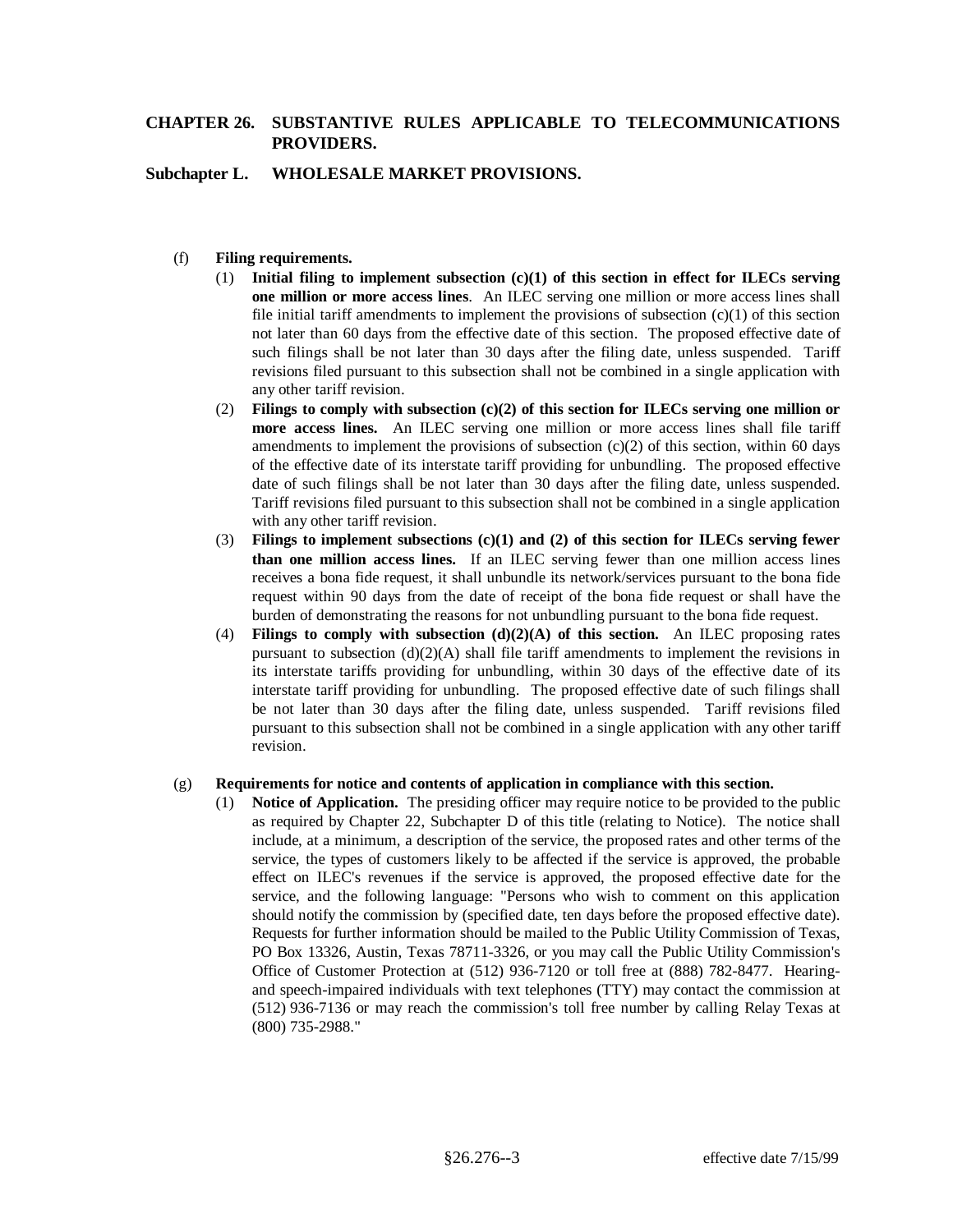### **Subchapter L. WHOLESALE MARKET PROVISIONS.**

### (f) **Filing requirements.**

- (1) **Initial filing to implement subsection (c)(1) of this section in effect for ILECs serving one million or more access lines**. An ILEC serving one million or more access lines shall file initial tariff amendments to implement the provisions of subsection  $(c)(1)$  of this section not later than 60 days from the effective date of this section. The proposed effective date of such filings shall be not later than 30 days after the filing date, unless suspended. Tariff revisions filed pursuant to this subsection shall not be combined in a single application with any other tariff revision.
- (2) **Filings to comply with subsection (c)(2) of this section for ILECs serving one million or more access lines.** An ILEC serving one million or more access lines shall file tariff amendments to implement the provisions of subsection  $(c)(2)$  of this section, within 60 days of the effective date of its interstate tariff providing for unbundling. The proposed effective date of such filings shall be not later than 30 days after the filing date, unless suspended. Tariff revisions filed pursuant to this subsection shall not be combined in a single application with any other tariff revision.
- (3) **Filings to implement subsections (c)(1) and (2) of this section for ILECs serving fewer than one million access lines.** If an ILEC serving fewer than one million access lines receives a bona fide request, it shall unbundle its network/services pursuant to the bona fide request within 90 days from the date of receipt of the bona fide request or shall have the burden of demonstrating the reasons for not unbundling pursuant to the bona fide request.
- (4) **Filings to comply with subsection (d)(2)(A) of this section.** An ILEC proposing rates pursuant to subsection  $(d)(2)(A)$  shall file tariff amendments to implement the revisions in its interstate tariffs providing for unbundling, within 30 days of the effective date of its interstate tariff providing for unbundling. The proposed effective date of such filings shall be not later than 30 days after the filing date, unless suspended. Tariff revisions filed pursuant to this subsection shall not be combined in a single application with any other tariff revision.

#### (g) **Requirements for notice and contents of application in compliance with this section.**

(1) **Notice of Application.** The presiding officer may require notice to be provided to the public as required by Chapter 22, Subchapter D of this title (relating to Notice). The notice shall include, at a minimum, a description of the service, the proposed rates and other terms of the service, the types of customers likely to be affected if the service is approved, the probable effect on ILEC's revenues if the service is approved, the proposed effective date for the service, and the following language: "Persons who wish to comment on this application should notify the commission by (specified date, ten days before the proposed effective date). Requests for further information should be mailed to the Public Utility Commission of Texas, PO Box 13326, Austin, Texas 78711-3326, or you may call the Public Utility Commission's Office of Customer Protection at (512) 936-7120 or toll free at (888) 782-8477. Hearingand speech-impaired individuals with text telephones (TTY) may contact the commission at (512) 936-7136 or may reach the commission's toll free number by calling Relay Texas at (800) 735-2988."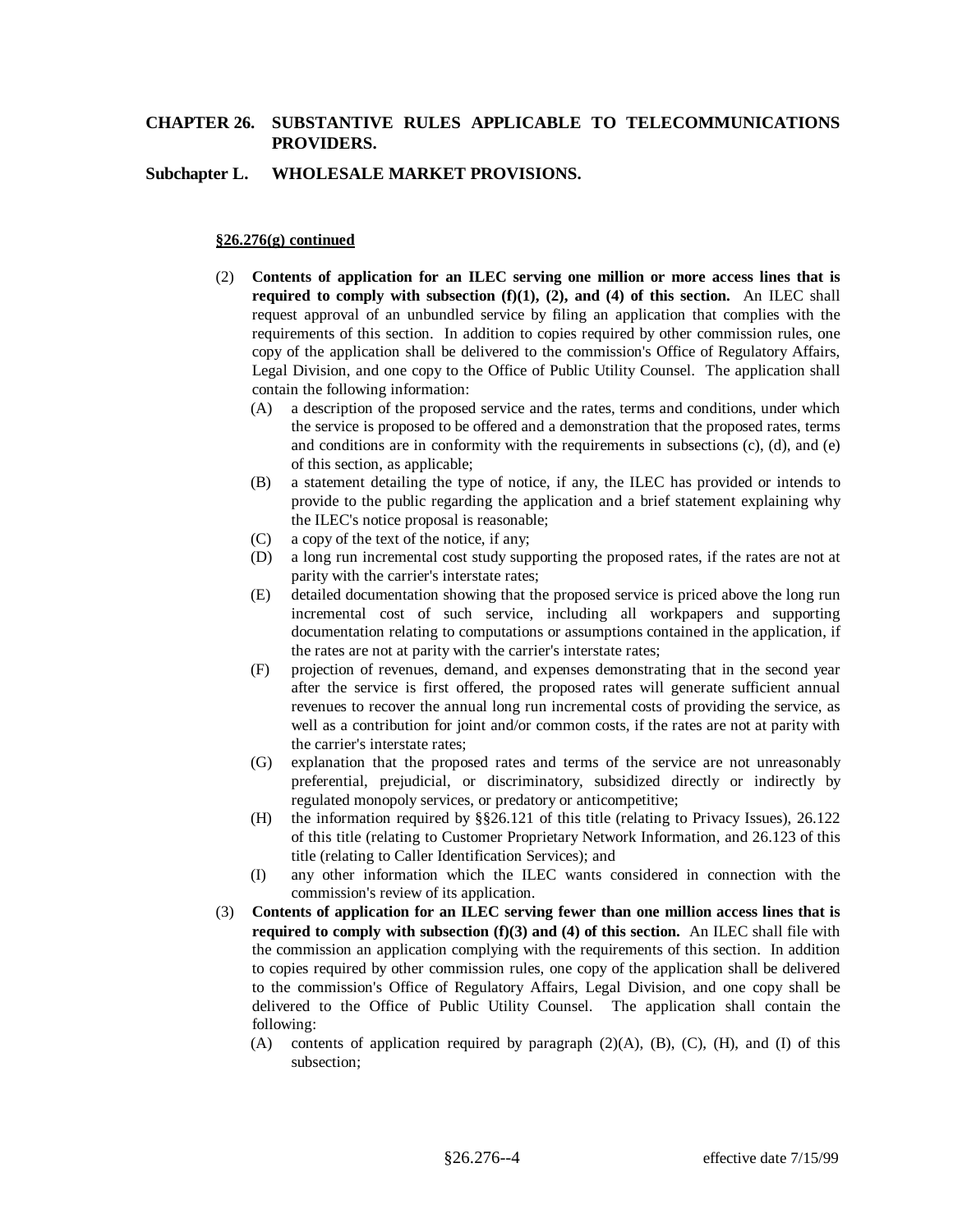### **Subchapter L. WHOLESALE MARKET PROVISIONS.**

#### **§26.276(g) continued**

- (2) **Contents of application for an ILEC serving one million or more access lines that is required to comply with subsection (f)(1), (2), and (4) of this section.** An ILEC shall request approval of an unbundled service by filing an application that complies with the requirements of this section. In addition to copies required by other commission rules, one copy of the application shall be delivered to the commission's Office of Regulatory Affairs, Legal Division, and one copy to the Office of Public Utility Counsel. The application shall contain the following information:
	- (A) a description of the proposed service and the rates, terms and conditions, under which the service is proposed to be offered and a demonstration that the proposed rates, terms and conditions are in conformity with the requirements in subsections (c), (d), and (e) of this section, as applicable;
	- (B) a statement detailing the type of notice, if any, the ILEC has provided or intends to provide to the public regarding the application and a brief statement explaining why the ILEC's notice proposal is reasonable;
	- (C) a copy of the text of the notice, if any;
	- (D) a long run incremental cost study supporting the proposed rates, if the rates are not at parity with the carrier's interstate rates;
	- (E) detailed documentation showing that the proposed service is priced above the long run incremental cost of such service, including all workpapers and supporting documentation relating to computations or assumptions contained in the application, if the rates are not at parity with the carrier's interstate rates;
	- (F) projection of revenues, demand, and expenses demonstrating that in the second year after the service is first offered, the proposed rates will generate sufficient annual revenues to recover the annual long run incremental costs of providing the service, as well as a contribution for joint and/or common costs, if the rates are not at parity with the carrier's interstate rates;
	- (G) explanation that the proposed rates and terms of the service are not unreasonably preferential, prejudicial, or discriminatory, subsidized directly or indirectly by regulated monopoly services, or predatory or anticompetitive;
	- (H) the information required by §§26.121 of this title (relating to Privacy Issues), 26.122 of this title (relating to Customer Proprietary Network Information, and 26.123 of this title (relating to Caller Identification Services); and
	- (I) any other information which the ILEC wants considered in connection with the commission's review of its application.
- (3) **Contents of application for an ILEC serving fewer than one million access lines that is required to comply with subsection (f)(3) and (4) of this section.** An ILEC shall file with the commission an application complying with the requirements of this section. In addition to copies required by other commission rules, one copy of the application shall be delivered to the commission's Office of Regulatory Affairs, Legal Division, and one copy shall be delivered to the Office of Public Utility Counsel. The application shall contain the following:
	- (A) contents of application required by paragraph  $(2)(A)$ ,  $(B)$ ,  $(C)$ ,  $(H)$ , and  $(I)$  of this subsection;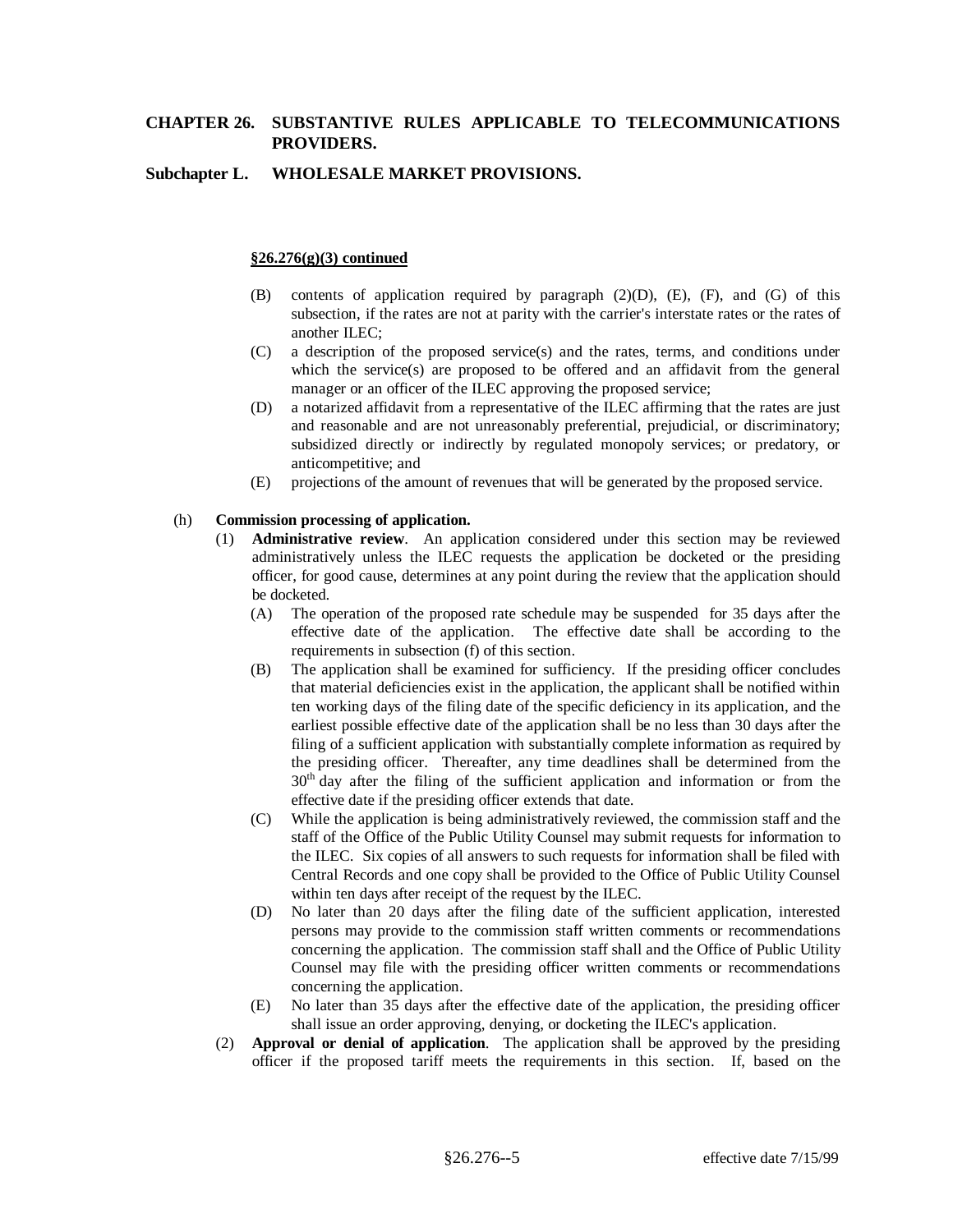### **Subchapter L. WHOLESALE MARKET PROVISIONS.**

#### **§26.276(g)(3) continued**

- (B) contents of application required by paragraph (2)(D), (E), (F), and (G) of this subsection, if the rates are not at parity with the carrier's interstate rates or the rates of another ILEC;
- (C) a description of the proposed service(s) and the rates, terms, and conditions under which the service(s) are proposed to be offered and an affidavit from the general manager or an officer of the ILEC approving the proposed service;
- (D) a notarized affidavit from a representative of the ILEC affirming that the rates are just and reasonable and are not unreasonably preferential, prejudicial, or discriminatory; subsidized directly or indirectly by regulated monopoly services; or predatory, or anticompetitive; and
- (E) projections of the amount of revenues that will be generated by the proposed service.

#### (h) **Commission processing of application.**

- (1) **Administrative review**. An application considered under this section may be reviewed administratively unless the ILEC requests the application be docketed or the presiding officer, for good cause, determines at any point during the review that the application should be docketed.
	- (A) The operation of the proposed rate schedule may be suspended for 35 days after the effective date of the application. The effective date shall be according to the requirements in subsection (f) of this section.
	- (B) The application shall be examined for sufficiency. If the presiding officer concludes that material deficiencies exist in the application, the applicant shall be notified within ten working days of the filing date of the specific deficiency in its application, and the earliest possible effective date of the application shall be no less than 30 days after the filing of a sufficient application with substantially complete information as required by the presiding officer. Thereafter, any time deadlines shall be determined from the 30<sup>th</sup> day after the filing of the sufficient application and information or from the effective date if the presiding officer extends that date.
	- (C) While the application is being administratively reviewed, the commission staff and the staff of the Office of the Public Utility Counsel may submit requests for information to the ILEC. Six copies of all answers to such requests for information shall be filed with Central Records and one copy shall be provided to the Office of Public Utility Counsel within ten days after receipt of the request by the ILEC.
	- (D) No later than 20 days after the filing date of the sufficient application, interested persons may provide to the commission staff written comments or recommendations concerning the application. The commission staff shall and the Office of Public Utility Counsel may file with the presiding officer written comments or recommendations concerning the application.
	- (E) No later than 35 days after the effective date of the application, the presiding officer shall issue an order approving, denying, or docketing the ILEC's application.
- (2) **Approval or denial of application**. The application shall be approved by the presiding officer if the proposed tariff meets the requirements in this section. If, based on the